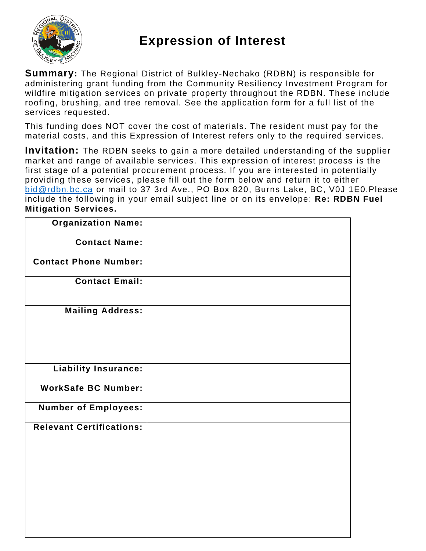

## **Expression of Interest**

**Summary:** The Regional District of Bulkley-Nechako (RDBN) is responsible for administering grant funding from the Community Resiliency Investment Program for wildfire mitigation services on private property throughout the RDBN. These include roofing, brushing, and tree removal. See the application form for a full list of the services requested.

This funding does NOT cover the cost of materials. The resident must pay for the material costs, and this Expression of Interest refers only to the required services.

**Invitation:** The RDBN seeks to gain a more detailed understanding of the supplier market and range of available services. This expression of interest process is the first stage of a potential procurement process. If you are interested in potentially providing these services, please fill out the form below and return it to either [bid@rdbn.bc.ca](mailto:bid@rdbn.bc.ca) or mail to 37 3rd Ave., PO Box 820, Burns Lake, BC, V0J 1E0.Please include the following in your email subject line or on its envelope: **Re: RDBN Fuel Mitigation Services.** 

| <b>Organization Name:</b>       |  |
|---------------------------------|--|
| <b>Contact Name:</b>            |  |
| <b>Contact Phone Number:</b>    |  |
| <b>Contact Email:</b>           |  |
| <b>Mailing Address:</b>         |  |
| <b>Liability Insurance:</b>     |  |
| <b>WorkSafe BC Number:</b>      |  |
| <b>Number of Employees:</b>     |  |
| <b>Relevant Certifications:</b> |  |